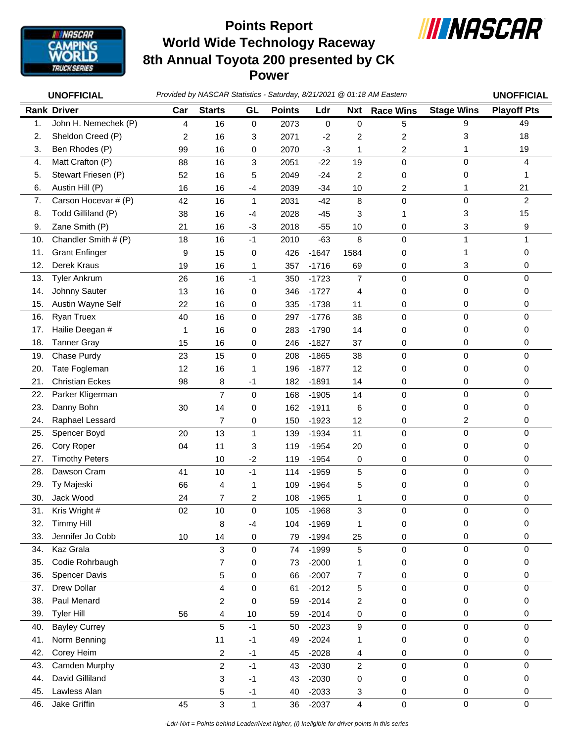

## **World Wide Technology Raceway 8th Annual Toyota 200 presented by CK Power Points Report**



|     | <b>UNOFFICIAL</b>      |     |                         |              |               |         |                         | Provided by NASCAR Statistics - Saturday, 8/21/2021 @ 01:18 AM Eastern |                   | <b>UNOFFICIAL</b>  |
|-----|------------------------|-----|-------------------------|--------------|---------------|---------|-------------------------|------------------------------------------------------------------------|-------------------|--------------------|
|     | <b>Rank Driver</b>     | Car | <b>Starts</b>           | GL           | <b>Points</b> | Ldr     | <b>Nxt</b>              | <b>Race Wins</b>                                                       | <b>Stage Wins</b> | <b>Playoff Pts</b> |
| 1.  | John H. Nemechek (P)   | 4   | 16                      | $\mathbf 0$  | 2073          | 0       | $\mathbf 0$             | 5                                                                      | 9                 | 49                 |
| 2.  | Sheldon Creed (P)      | 2   | 16                      | 3            | 2071          | $-2$    | 2                       | $\overline{c}$                                                         | 3                 | 18                 |
| 3.  | Ben Rhodes (P)         | 99  | 16                      | 0            | 2070          | $-3$    | 1                       | 2                                                                      | 1                 | 19                 |
| 4.  | Matt Crafton (P)       | 88  | 16                      | 3            | 2051          | $-22$   | 19                      | $\mathbf 0$                                                            | $\mathbf 0$       | 4                  |
| 5.  | Stewart Friesen (P)    | 52  | 16                      | 5            | 2049          | $-24$   | $\overline{c}$          | 0                                                                      | 0                 |                    |
| 6.  | Austin Hill (P)        | 16  | 16                      | $-4$         | 2039          | $-34$   | 10                      | 2                                                                      | 1                 | 21                 |
| 7.  | Carson Hocevar # (P)   | 42  | 16                      | $\mathbf{1}$ | 2031          | $-42$   | 8                       | $\mathbf 0$                                                            | $\pmb{0}$         | $\overline{2}$     |
| 8.  | Todd Gilliland (P)     | 38  | 16                      | $-4$         | 2028          | $-45$   | 3                       | 1                                                                      | 3                 | 15                 |
| 9.  | Zane Smith (P)         | 21  | 16                      | $-3$         | 2018          | $-55$   | 10                      | 0                                                                      | 3                 | 9                  |
| 10. | Chandler Smith # (P)   | 18  | 16                      | $-1$         | 2010          | $-63$   | 8                       | $\mathbf 0$                                                            | 1                 |                    |
| 11. | <b>Grant Enfinger</b>  | 9   | 15                      | 0            | 426           | $-1647$ | 1584                    | 0                                                                      | 1                 | 0                  |
| 12. | Derek Kraus            | 19  | 16                      | 1            | 357           | $-1716$ | 69                      | 0                                                                      | 3                 | 0                  |
| 13. | <b>Tyler Ankrum</b>    | 26  | 16                      | $-1$         | 350           | $-1723$ | $\overline{7}$          | 0                                                                      | $\mathbf 0$       | $\mathbf 0$        |
| 14. | Johnny Sauter          | 13  | 16                      | 0            | 346           | $-1727$ | 4                       | 0                                                                      | 0                 | 0                  |
| 15. | Austin Wayne Self      | 22  | 16                      | 0            | 335           | $-1738$ | 11                      | 0                                                                      | 0                 | 0                  |
| 16. | Ryan Truex             | 40  | 16                      | 0            | 297           | $-1776$ | 38                      | $\pmb{0}$                                                              | $\mathbf 0$       | $\mathbf 0$        |
| 17. | Hailie Deegan #        | 1   | 16                      | 0            | 283           | $-1790$ | 14                      | 0                                                                      | 0                 | 0                  |
| 18. | <b>Tanner Gray</b>     | 15  | 16                      | 0            | 246           | $-1827$ | 37                      | 0                                                                      | 0                 | 0                  |
| 19. | Chase Purdy            | 23  | 15                      | $\mathbf 0$  | 208           | $-1865$ | 38                      | 0                                                                      | 0                 | $\mathbf 0$        |
| 20. | Tate Fogleman          | 12  | 16                      | 1            | 196           | $-1877$ | 12                      | 0                                                                      | 0                 | 0                  |
| 21. | <b>Christian Eckes</b> | 98  | 8                       | $-1$         | 182           | $-1891$ | 14                      | 0                                                                      | 0                 | 0                  |
| 22. | Parker Kligerman       |     | $\overline{7}$          | 0            | 168           | $-1905$ | 14                      | $\pmb{0}$                                                              | $\mathbf 0$       | $\mathbf 0$        |
| 23. | Danny Bohn             | 30  | 14                      | 0            | 162           | $-1911$ | 6                       | 0                                                                      | 0                 | 0                  |
| 24. | Raphael Lessard        |     | $\overline{7}$          | 0            | 150           | $-1923$ | 12                      | 0                                                                      | 2                 | 0                  |
| 25. | Spencer Boyd           | 20  | 13                      | $\mathbf{1}$ | 139           | $-1934$ | 11                      | $\mathbf 0$                                                            | $\mathbf 0$       | $\Omega$           |
| 26. | Cory Roper             | 04  | 11                      | 3            | 119           | $-1954$ | 20                      | 0                                                                      | 0                 | 0                  |
| 27. | <b>Timothy Peters</b>  |     | 10                      | $-2$         | 119           | $-1954$ | 0                       | 0                                                                      | 0                 | 0                  |
| 28. | Dawson Cram            | 41  | 10                      | $-1$         | 114           | $-1959$ | 5                       | $\mathbf 0$                                                            | $\mathbf 0$       | $\mathbf 0$        |
| 29. | Ty Majeski             | 66  | 4                       | 1            | 109           | $-1964$ | 5                       | 0                                                                      | 0                 | 0                  |
| 30. | Jack Wood              | 24  | 7                       | 2            | 108           | $-1965$ | 1                       | 0                                                                      | 0                 | 0                  |
| 31. | Kris Wright #          | 02  | 10                      | 0            | 105           | $-1968$ | 3                       | 0                                                                      | 0                 | 0                  |
| 32. | <b>Timmy Hill</b>      |     | 8                       | $-4$         | 104           | $-1969$ | 1                       | 0                                                                      | 0                 | 0                  |
| 33. | Jennifer Jo Cobb       | 10  | 14                      | 0            | 79            | $-1994$ | 25                      | 0                                                                      | 0                 | 0                  |
| 34. | Kaz Grala              |     | 3                       | 0            | 74            | $-1999$ | 5                       | 0                                                                      | 0                 | 0                  |
| 35. | Codie Rohrbaugh        |     | 7                       | 0            | 73            | $-2000$ | 1                       | 0                                                                      | 0                 | 0                  |
| 36. | Spencer Davis          |     | 5                       | 0            | 66            | $-2007$ | 7                       | 0                                                                      | 0                 | 0                  |
| 37. | Drew Dollar            |     | 4                       | 0            | 61            | $-2012$ | 5                       | 0                                                                      | 0                 | $\mathbf 0$        |
| 38. | Paul Menard            |     | 2                       | 0            | 59            | $-2014$ | 2                       | 0                                                                      | 0                 | 0                  |
| 39. | <b>Tyler Hill</b>      | 56  | 4                       | 10           | 59            | $-2014$ | 0                       | 0                                                                      | 0                 | 0                  |
| 40. | <b>Bayley Currey</b>   |     | 5                       | $-1$         | 50            | $-2023$ | 9                       | 0                                                                      | 0                 | 0                  |
| 41. | Norm Benning           |     | 11                      | $-1$         | 49            | $-2024$ | 1                       | 0                                                                      | 0                 | 0                  |
| 42. | Corey Heim             |     | $\overline{\mathbf{c}}$ | $-1$         | 45            | $-2028$ | 4                       | 0                                                                      | 0                 | 0                  |
| 43. | Camden Murphy          |     | $\overline{c}$          | $-1$         | 43            | $-2030$ | $\boldsymbol{2}$        | $\pmb{0}$                                                              | $\pmb{0}$         | $\mathbf 0$        |
| 44. | David Gilliland        |     | 3                       | $-1$         | 43            | $-2030$ | 0                       | 0                                                                      | 0                 | 0                  |
| 45. | Lawless Alan           |     | 5                       | $-1$         | 40            | $-2033$ | 3                       | 0                                                                      | 0                 | 0                  |
| 46. | Jake Griffin           | 45  | 3                       | 1            | 36            | $-2037$ | $\overline{\mathbf{4}}$ | $\mathsf{O}\xspace$                                                    | 0                 | $\mathbf 0$        |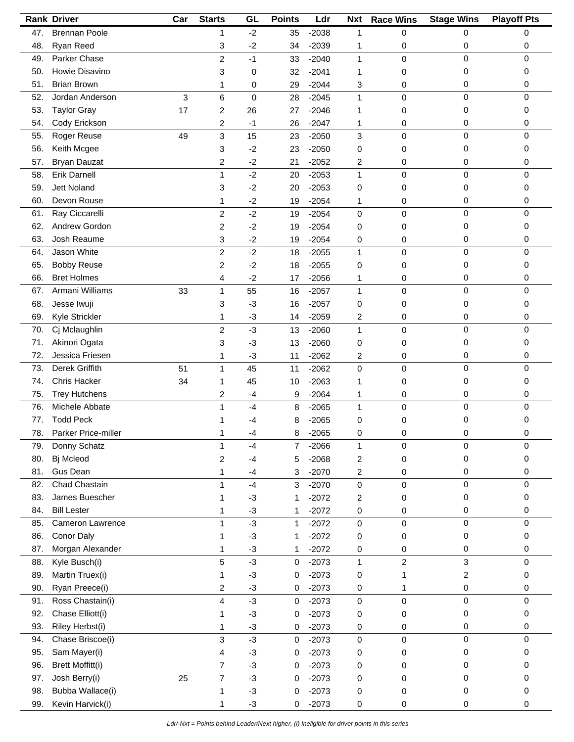|     | <b>Rank Driver</b>      | Car | <b>Starts</b>           | GL   | <b>Points</b>  | Ldr     | <b>Nxt</b>              | <b>Race Wins</b> | <b>Stage Wins</b>       | <b>Playoff Pts</b> |
|-----|-------------------------|-----|-------------------------|------|----------------|---------|-------------------------|------------------|-------------------------|--------------------|
| 47. | <b>Brennan Poole</b>    |     | 1                       | $-2$ | 35             | $-2038$ | 1                       | 0                | 0                       | 0                  |
| 48. | Ryan Reed               |     | 3                       | $-2$ | 34             | $-2039$ | 1                       | 0                | 0                       | 0                  |
| 49. | Parker Chase            |     | $\overline{c}$          | $-1$ | 33             | $-2040$ | 1                       | 0                | 0                       | $\mathbf 0$        |
| 50. | Howie Disavino          |     | 3                       | 0    | 32             | $-2041$ | 1                       | 0                | 0                       | 0                  |
| 51. | <b>Brian Brown</b>      |     | 1                       | 0    | 29             | $-2044$ | 3                       | 0                | 0                       | 0                  |
| 52. | Jordan Anderson         | 3   | 6                       | 0    | 28             | $-2045$ | $\mathbf{1}$            | 0                | $\mathbf 0$             | $\mathbf 0$        |
| 53. | <b>Taylor Gray</b>      | 17  | $\overline{c}$          | 26   | 27             | $-2046$ | 1                       | 0                | 0                       | 0                  |
| 54. | Cody Erickson           |     |                         | $-1$ | 26             | $-2047$ | 1                       |                  | 0                       | 0                  |
| 55. | Roger Reuse             | 49  | 2<br>3                  | 15   | 23             | $-2050$ | 3                       | 0<br>0           | $\mathbf 0$             | 0                  |
|     |                         |     |                         |      |                |         |                         |                  |                         |                    |
| 56. | Keith Mcgee             |     | 3                       | $-2$ | 23             | $-2050$ | 0                       | 0                | 0                       | 0                  |
| 57. | <b>Bryan Dauzat</b>     |     | 2                       | $-2$ | 21             | $-2052$ | 2                       | 0                | 0                       | 0                  |
| 58. | <b>Erik Darnell</b>     |     | 1                       | $-2$ | 20             | $-2053$ | $\mathbf{1}$            | 0                | $\mathbf 0$             | 0                  |
| 59. | <b>Jett Noland</b>      |     | 3                       | $-2$ | 20             | $-2053$ | 0                       | 0                | 0                       | 0                  |
| 60. | Devon Rouse             |     | 1                       | $-2$ | 19             | $-2054$ | 1                       | 0                | 0                       | 0                  |
| 61. | Ray Ciccarelli          |     | $\overline{c}$          | $-2$ | 19             | $-2054$ | 0                       | 0                | 0                       | 0                  |
| 62. | Andrew Gordon           |     | $\overline{c}$          | $-2$ | 19             | $-2054$ | 0                       | 0                | 0                       | 0                  |
| 63. | Josh Reaume             |     | 3                       | $-2$ | 19             | $-2054$ | 0                       | 0                | 0                       | 0                  |
| 64. | Jason White             |     | $\overline{\mathbf{c}}$ | $-2$ | 18             | $-2055$ | $\mathbf{1}$            | 0                | 0                       | 0                  |
| 65. | <b>Bobby Reuse</b>      |     | 2                       | $-2$ | 18             | $-2055$ | 0                       | 0                | 0                       | 0                  |
| 66. | <b>Bret Holmes</b>      |     | 4                       | $-2$ | 17             | $-2056$ | 1                       | 0                | 0                       | 0                  |
| 67. | Armani Williams         | 33  | 1                       | 55   | 16             | $-2057$ | $\mathbf{1}$            | 0                | $\pmb{0}$               | $\mathbf 0$        |
| 68. | Jesse Iwuji             |     | 3                       | $-3$ | 16             | $-2057$ | 0                       | 0                | 0                       | 0                  |
| 69. | Kyle Strickler          |     | 1                       | $-3$ | 14             | $-2059$ | 2                       | 0                | 0                       | 0                  |
| 70. | Cj Mclaughlin           |     | $\overline{c}$          | $-3$ | 13             | $-2060$ | 1                       | 0                | $\pmb{0}$               | 0                  |
| 71. | Akinori Ogata           |     | 3                       | $-3$ | 13             | $-2060$ | 0                       | 0                | 0                       | 0                  |
| 72. | Jessica Friesen         |     | 1                       | $-3$ | 11             | $-2062$ | 2                       | 0                | 0                       | 0                  |
| 73. | Derek Griffith          | 51  | $\mathbf{1}$            | 45   | 11             | $-2062$ | 0                       | 0                | $\mathbf 0$             | $\mathbf 0$        |
| 74. | <b>Chris Hacker</b>     | 34  | 1                       | 45   | 10             | $-2063$ | 1                       | 0                | 0                       | 0                  |
| 75. | <b>Trey Hutchens</b>    |     | 2                       | $-4$ | 9              | $-2064$ | 1                       | 0                | 0                       | 0                  |
| 76. | Michele Abbate          |     | 1                       | $-4$ | 8              | $-2065$ | 1                       | 0                | 0                       | $\mathbf 0$        |
| 77. | <b>Todd Peck</b>        |     |                         | -4   | 8              | $-2065$ | 0                       | 0                | 0                       | 0                  |
| 78. | Parker Price-miller     |     | 1                       | -4   | 8              | $-2065$ | 0                       | 0                | 0                       | 0                  |
| 79. | Donny Schatz            |     | 1                       | -4   | $\overline{7}$ | $-2066$ | 1                       | 0                | 0                       | 0                  |
| 80. | Bj Mcleod               |     | $\overline{c}$          | -4   | 5              | $-2068$ | $\overline{\mathbf{c}}$ | 0                | 0                       | 0                  |
| 81. | Gus Dean                |     | 1                       | $-4$ |                | $-2070$ |                         |                  | 0                       | 0                  |
| 82. | Chad Chastain           |     |                         |      | 3              |         | 2                       | 0                | 0                       | $\mathbf 0$        |
|     |                         |     | 1                       | $-4$ | 3              | $-2070$ | $\pmb{0}$               | 0                |                         |                    |
| 83. | James Buescher          |     | 1                       | $-3$ | 1              | $-2072$ | 2                       | 0                | 0                       | 0                  |
| 84. | <b>Bill Lester</b>      |     | 1                       | $-3$ | 1              | $-2072$ | 0                       | 0                | 0                       | 0                  |
| 85. | Cameron Lawrence        |     | 1                       | $-3$ | $\mathbf{1}$   | $-2072$ | 0                       | 0                | 0                       | 0                  |
| 86. | Conor Daly              |     | 1                       | $-3$ | 1              | $-2072$ | 0                       | 0                | 0                       | 0                  |
| 87. | Morgan Alexander        |     | 1                       | $-3$ | 1              | $-2072$ | 0                       | 0                | 0                       | 0                  |
| 88. | Kyle Busch(i)           |     | 5                       | $-3$ | 0              | $-2073$ | $\mathbf{1}$            | 2                | 3                       | $\mathbf 0$        |
| 89. | Martin Truex(i)         |     | 1                       | $-3$ | 0              | $-2073$ | 0                       | 1                | $\overline{\mathbf{c}}$ | 0                  |
| 90. | Ryan Preece(i)          |     | $\overline{c}$          | $-3$ | 0              | $-2073$ | 0                       | 1                | 0                       | 0                  |
| 91. | Ross Chastain(i)        |     | 4                       | $-3$ | $\mathbf 0$    | $-2073$ | 0                       | 0                | $\pmb{0}$               | $\mathbf 0$        |
| 92. | Chase Elliott(i)        |     | 1                       | $-3$ | 0              | $-2073$ | 0                       | 0                | 0                       | 0                  |
| 93. | Riley Herbst(i)         |     | 1                       | $-3$ | 0              | $-2073$ | 0                       | 0                | 0                       | 0                  |
| 94. | Chase Briscoe(i)        |     | 3                       | $-3$ | $\pmb{0}$      | $-2073$ | $\pmb{0}$               | 0                | $\pmb{0}$               | $\mathbf 0$        |
| 95. | Sam Mayer(i)            |     | 4                       | $-3$ | 0              | $-2073$ | 0                       | 0                | 0                       | 0                  |
| 96. | <b>Brett Moffitt(i)</b> |     | $\overline{7}$          | $-3$ | 0              | $-2073$ | 0                       | 0                | 0                       | 0                  |
| 97. | Josh Berry(i)           | 25  | $\overline{7}$          | $-3$ | $\mathbf 0$    | $-2073$ | 0                       | 0                | $\pmb{0}$               | $\mathbf 0$        |
| 98. | Bubba Wallace(i)        |     | 1                       | $-3$ | 0              | $-2073$ | 0                       | 0                | 0                       | 0                  |
| 99. | Kevin Harvick(i)        |     | 1                       | $-3$ | 0              | $-2073$ | 0                       | 0                | 0                       | 0                  |